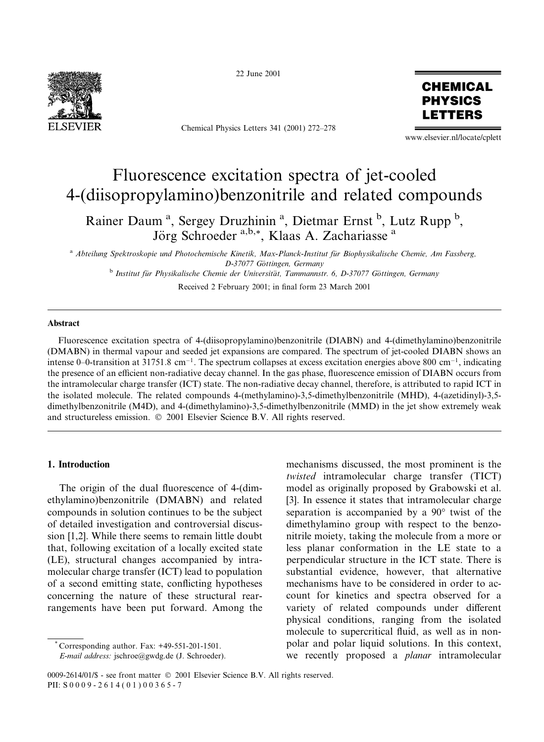

22 June 2001

Chemical Physics Letters 341 (2001) 272-278



www.elsevier.nl/locate/cplett

# Fluorescence excitation spectra of jet-cooled 4-(diisopropylamino) benzonitrile and related compounds

Rainer Daum<sup>a</sup>, Sergey Druzhinin<sup>a</sup>, Dietmar Ernst<sup>b</sup>, Lutz Rupp<sup>b</sup>, Jörg Schroeder<sup>a,b,\*</sup>, Klaas A. Zachariasse<sup>a</sup>

<sup>a</sup> Abteilung Spektroskopie und Photochemische Kinetik, Max-Planck-Institut für Biophysikalische Chemie, Am Fassberg, D-37077 Göttingen, Germany

<sup>b</sup> Institut für Physikalische Chemie der Universität, Tammannstr. 6, D-37077 Göttingen, Germany

Received 2 February 2001; in final form 23 March 2001

## Abstract

Fluorescence excitation spectra of 4-(diisopropylamino)benzonitrile (DIABN) and 4-(dimethylamino)benzonitrile (DMABN) in thermal vapour and seeded jet expansions are compared. The spectrum of jet-cooled DIABN shows an intense 0–0-transition at 31751.8 cm<sup>-1</sup>. The spectrum collapses at excess excitation energies above 800 cm<sup>-1</sup>, indicating the presence of an efficient non-radiative decay channel. In the gas phase, fluorescence emission of DIABN occurs from the intramolecular charge transfer (ICT) state. The non-radiative decay channel, therefore, is attributed to rapid ICT in the isolated molecule. The related compounds 4-(methylamino)-3,5-dimethylbenzonitrile (MHD), 4-(azetidinyl)-3,5dimethylbenzonitrile (M4D), and 4-(dimethylamino)-3,5-dimethylbenzonitrile (MMD) in the jet show extremely weak and structureless emission. © 2001 Elsevier Science B.V. All rights reserved.

#### 1. Introduction

The origin of the dual fluorescence of 4-(dimethylamino)benzonitrile (DMABN) and related compounds in solution continues to be the subject of detailed investigation and controversial discussion [1,2]. While there seems to remain little doubt that, following excitation of a locally excited state (LE), structural changes accompanied by intramolecular charge transfer (ICT) lead to population of a second emitting state, conflicting hypotheses concerning the nature of these structural rearrangements have been put forward. Among the mechanisms discussed, the most prominent is the *twisted* intramolecular charge transfer (TICT) model as originally proposed by Grabowski et al. [3]. In essence it states that intramolecular charge separation is accompanied by a 90° twist of the dimethylamino group with respect to the benzonitrile moiety, taking the molecule from a more or less planar conformation in the LE state to a perpendicular structure in the ICT state. There is substantial evidence, however, that alternative mechanisms have to be considered in order to account for kinetics and spectra observed for a variety of related compounds under different physical conditions, ranging from the isolated molecule to supercritical fluid, as well as in nonpolar and polar liquid solutions. In this context, we recently proposed a *planar* intramolecular

Corresponding author. Fax: +49-551-201-1501.

E-mail address: jschroe@gwdg.de (J. Schroeder).

<sup>0009-2614/01/\$ -</sup> see front matter © 2001 Elsevier Science B.V. All rights reserved. PII: S0009-2614(01)00365-7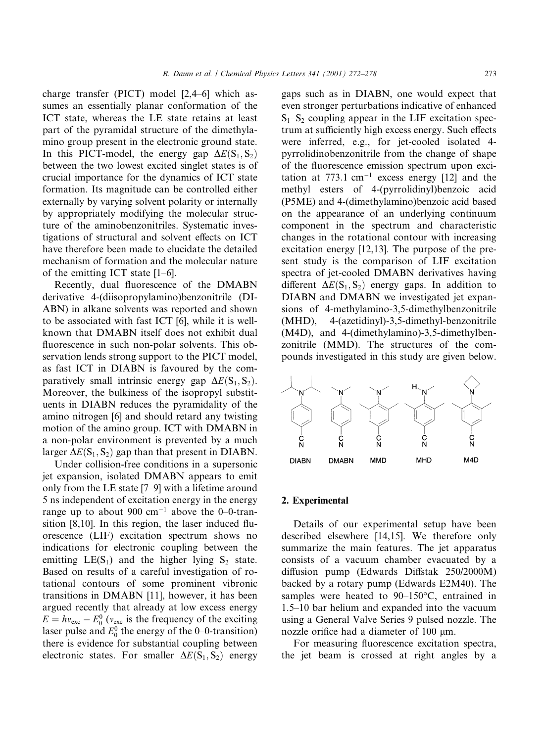charge transfer (PICT) model [2,4-6] which assumes an essentially planar conformation of the ICT state, whereas the LE state retains at least part of the pyramidal structure of the dimethylamino group present in the electronic ground state. In this PICT-model, the energy gap  $\Delta E(S_1, S_2)$ between the two lowest excited singlet states is of crucial importance for the dynamics of ICT state formation. Its magnitude can be controlled either externally by varying solvent polarity or internally by appropriately modifying the molecular structure of the aminobenzonitriles. Systematic investigations of structural and solvent effects on ICT have therefore been made to elucidate the detailed mechanism of formation and the molecular nature of the emitting ICT state  $[1-6]$ .

Recently, dual fluorescence of the DMABN derivative 4-(diisopropylamino)benzonitrile (DI-ABN) in alkane solvents was reported and shown to be associated with fast ICT [6], while it is wellknown that DMABN itself does not exhibit dual fluorescence in such non-polar solvents. This observation lends strong support to the PICT model, as fast ICT in DIABN is favoured by the comparatively small intrinsic energy gap  $\Delta E(S_1, S_2)$ . Moreover, the bulkiness of the isopropyl substituents in DIABN reduces the pyramidality of the amino nitrogen [6] and should retard any twisting motion of the amino group. ICT with DMABN in a non-polar environment is prevented by a much larger  $\Delta E(S_1, S_2)$  gap than that present in DIABN.

Under collision-free conditions in a supersonic jet expansion, isolated DMABN appears to emit only from the LE state [7–9] with a lifetime around 5 ns independent of excitation energy in the energy range up to about 900  $cm^{-1}$  above the 0-0-transition [8,10]. In this region, the laser induced fluorescence (LIF) excitation spectrum shows no indications for electronic coupling between the emitting  $LE(S_1)$  and the higher lying  $S_2$  state. Based on results of a careful investigation of rotational contours of some prominent vibronic transitions in DMABN [11], however, it has been argued recently that already at low excess energy  $E = hv_{\text{exc}} - E_0^0$  ( $v_{\text{exc}}$  is the frequency of the exciting laser pulse and  $E_0^0$  the energy of the 0–0-transition) there is evidence for substantial coupling between electronic states. For smaller  $\Delta E(S_1, S_2)$  energy

gaps such as in DIABN, one would expect that even stronger perturbations indicative of enhanced  $S_1-S_2$  coupling appear in the LIF excitation spectrum at sufficiently high excess energy. Such effects were inferred, e.g., for jet-cooled isolated 4pyrrolidinobenzonitrile from the change of shape of the fluorescence emission spectrum upon excitation at  $773.1$  cm<sup>-1</sup> excess energy [12] and the methyl esters of 4-(pyrrolidinyl)benzoic acid (P5ME) and 4-(dimethylamino)benzoic acid based on the appearance of an underlying continuum component in the spectrum and characteristic changes in the rotational contour with increasing excitation energy  $[12,13]$ . The purpose of the present study is the comparison of LIF excitation spectra of jet-cooled DMABN derivatives having different  $\Delta E(S_1, S_2)$  energy gaps. In addition to DIABN and DMABN we investigated jet expansions of 4-methylamino-3,5-dimethylbenzonitrile  $(MHD)$ , 4-(azetidinyl)-3,5-dimethyl-benzonitrile  $(M4D)$ , and 4-(dimethylamino)-3,5-dimethylbenzonitrile (MMD). The structures of the compounds investigated in this study are given below.



#### 2. Experimental

Details of our experimental setup have been described elsewhere [14,15]. We therefore only summarize the main features. The jet apparatus consists of a vacuum chamber evacuated by a diffusion pump (Edwards Diffstak 250/2000M) backed by a rotary pump (Edwards E2M40). The samples were heated to  $90-150$ °C, entrained in 1.5–10 bar helium and expanded into the vacuum using a General Valve Series 9 pulsed nozzle. The nozzle orifice had a diameter of 100 µm.

For measuring fluorescence excitation spectra, the jet beam is crossed at right angles by a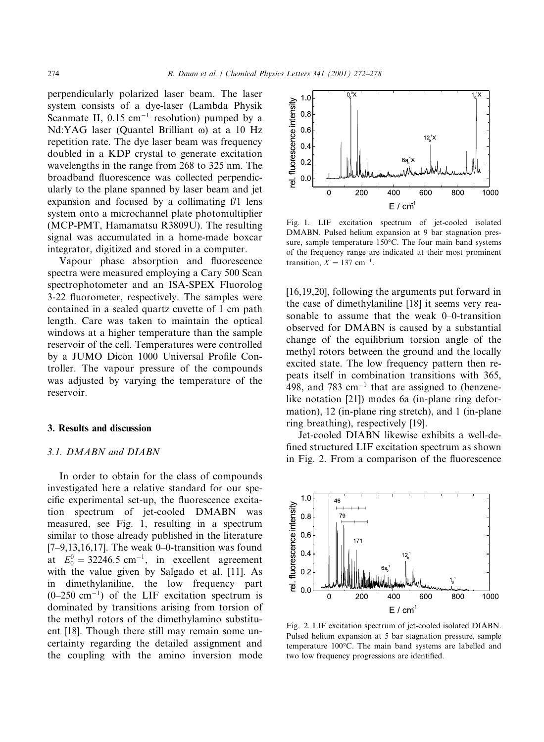perpendicularly polarized laser beam. The laser system consists of a dye-laser (Lambda Physik Scanmate II,  $0.15$  cm<sup>-1</sup> resolution) pumped by a Nd:YAG laser (Quantel Brilliant ω) at a 10 Hz repetition rate. The dye laser beam was frequency doubled in a KDP crystal to generate excitation wavelengths in the range from 268 to 325 nm. The broadband fluorescence was collected perpendicularly to the plane spanned by laser beam and jet expansion and focused by a collimating f/1 lens system onto a microchannel plate photomultiplier (MCP-PMT, Hamamatsu R3809U). The resulting signal was accumulated in a home-made boxcar integrator, digitized and stored in a computer.

Vapour phase absorption and fluorescence spectra were measured employing a Cary 500 Scan spectrophotometer and an ISA-SPEX Fluorolog 3-22 fluorometer, respectively. The samples were contained in a sealed quartz cuvette of 1 cm path length. Care was taken to maintain the optical windows at a higher temperature than the sample reservoir of the cell. Temperatures were controlled by a JUMO Dicon 1000 Universal Profile Controller. The vapour pressure of the compounds was adjusted by varying the temperature of the reservoir.

#### 3. Results and discussion

## 3.1. DMABN and DIABN

In order to obtain for the class of compounds investigated here a relative standard for our specific experimental set-up, the fluorescence excitation spectrum of jet-cooled DMABN was measured, see Fig. 1, resulting in a spectrum similar to those already published in the literature [7-9,13,16,17]. The weak 0-0-transition was found at  $E_0^0 = 32246.5$  cm<sup>-1</sup>, in excellent agreement with the value given by Salgado et al. [11]. As in dimethylaniline, the low frequency part  $(0-250 \text{ cm}^{-1})$  of the LIF excitation spectrum is dominated by transitions arising from torsion of the methyl rotors of the dimethylamino substituent [18]. Though there still may remain some uncertainty regarding the detailed assignment and the coupling with the amino inversion mode



Fig. 1. LIF excitation spectrum of jet-cooled isolated DMABN. Pulsed helium expansion at 9 bar stagnation pressure, sample temperature 150°C. The four main band systems of the frequency range are indicated at their most prominent transition,  $X = 137$  cm<sup>-1</sup>.

 $[16, 19, 20]$ , following the arguments put forward in the case of dimethylaniline [18] it seems very reasonable to assume that the weak 0–0-transition observed for DMABN is caused by a substantial change of the equilibrium torsion angle of the methyl rotors between the ground and the locally excited state. The low frequency pattern then repeats itself in combination transitions with 365. 498, and 783  $cm^{-1}$  that are assigned to (benzenelike notation [21]) modes 6a (in-plane ring deformation), 12 (in-plane ring stretch), and 1 (in-plane ring breathing), respectively [19].

Jet-cooled DIABN likewise exhibits a well-defined structured LIF excitation spectrum as shown in Fig. 2. From a comparison of the fluorescence



Fig. 2. LIF excitation spectrum of jet-cooled isolated DIABN. Pulsed helium expansion at 5 bar stagnation pressure, sample temperature 100°C. The main band systems are labelled and two low frequency progressions are identified.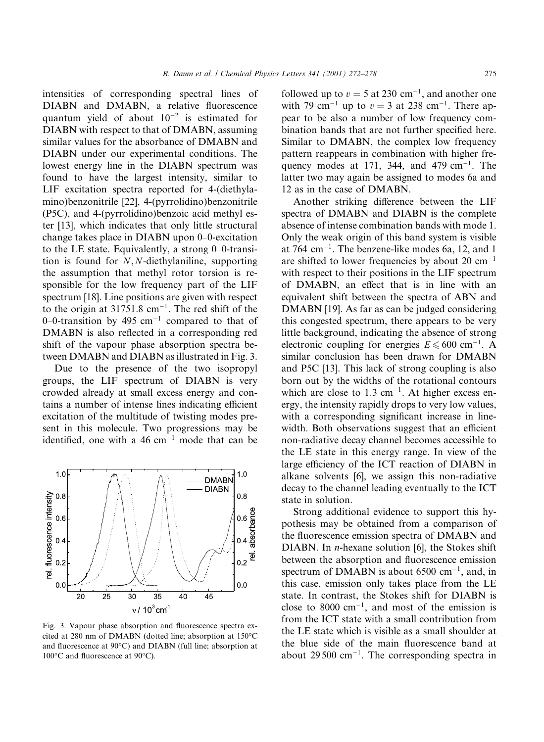intensities of corresponding spectral lines of DIABN and DMABN, a relative fluorescence quantum yield of about  $10^{-2}$  is estimated for DIABN with respect to that of DMABN, assuming similar values for the absorbance of DMABN and DIABN under our experimental conditions. The lowest energy line in the DIABN spectrum was found to have the largest intensity, similar to LIF excitation spectra reported for 4-(diethylamino) benzonitrile [22], 4-(pyrrolidino) benzonitrile (P5C), and 4-(pyrrolidino)benzoic acid methyl ester [13], which indicates that only little structural change takes place in DIABN upon 0–0-excitation to the LE state. Equivalently, a strong 0–0-transition is found for  $N$ ,  $N$ -diethylaniline, supporting the assumption that methyl rotor torsion is responsible for the low frequency part of the LIF spectrum [18]. Line positions are given with respect to the origin at  $31751.8$  cm<sup>-1</sup>. The red shift of the 0–0-transition by 495 cm<sup>-1</sup> compared to that of DMABN is also reflected in a corresponding red shift of the vapour phase absorption spectra between DMABN and DIABN as illustrated in Fig. 3.

Due to the presence of the two isopropyl groups, the LIF spectrum of DIABN is very crowded already at small excess energy and contains a number of intense lines indicating efficient excitation of the multitude of twisting modes present in this molecule. Two progressions may be identified, one with a 46  $cm^{-1}$  mode that can be



Fig. 3. Vapour phase absorption and fluorescence spectra excited at 280 nm of DMABN (dotted line: absorption at 150°C and fluorescence at 90°C) and DIABN (full line; absorption at 100°C and fluorescence at 90°C).

followed up to  $v = 5$  at 230 cm<sup>-1</sup>, and another one with 79 cm<sup>-1</sup> up to  $v = 3$  at 238 cm<sup>-1</sup>. There appear to be also a number of low frequency combination bands that are not further specified here. Similar to DMABN, the complex low frequency pattern reappears in combination with higher frequency modes at 171, 344, and 479 cm<sup>-1</sup>. The latter two may again be assigned to modes 6a and 12 as in the case of DMABN.

Another striking difference between the LIF spectra of DMABN and DIABN is the complete absence of intense combination bands with mode 1. Only the weak origin of this band system is visible at 764  $\text{cm}^{-1}$ . The benzene-like modes 6a, 12, and 1 are shifted to lower frequencies by about 20  $\text{cm}^{-1}$ with respect to their positions in the LIF spectrum of DMABN, an effect that is in line with an equivalent shift between the spectra of ABN and DMABN [19]. As far as can be judged considering this congested spectrum, there appears to be very little background, indicating the absence of strong electronic coupling for energies  $E \le 600$  cm<sup>-1</sup>. A similar conclusion has been drawn for DMABN and P5C [13]. This lack of strong coupling is also born out by the widths of the rotational contours which are close to  $1.3 \text{ cm}^{-1}$ . At higher excess energy, the intensity rapidly drops to very low values, with a corresponding significant increase in linewidth. Both observations suggest that an efficient non-radiative decay channel becomes accessible to the LE state in this energy range. In view of the large efficiency of the ICT reaction of DIABN in alkane solvents [6], we assign this non-radiative decay to the channel leading eventually to the ICT state in solution.

Strong additional evidence to support this hypothesis may be obtained from a comparison of the fluorescence emission spectra of DMABN and DIABN. In *n*-hexane solution [6], the Stokes shift between the absorption and fluorescence emission spectrum of DMABN is about  $6500 \text{ cm}^{-1}$ , and, in this case, emission only takes place from the LE state. In contrast, the Stokes shift for DIABN is close to 8000 cm<sup>-1</sup>, and most of the emission is from the ICT state with a small contribution from the LE state which is visible as a small shoulder at the blue side of the main fluorescence band at about 29500 cm<sup>-1</sup>. The corresponding spectra in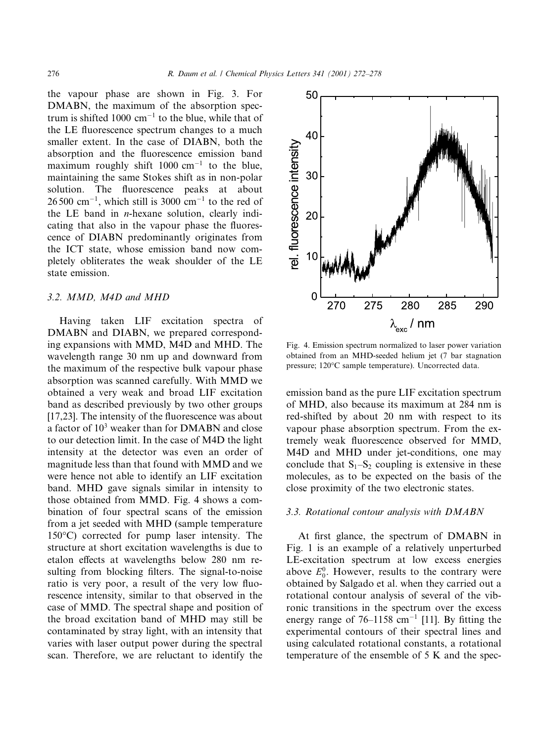the vapour phase are shown in Fig. 3. For DMABN, the maximum of the absorption spectrum is shifted 1000  $cm^{-1}$  to the blue, while that of the LE fluorescence spectrum changes to a much smaller extent. In the case of DIABN, both the absorption and the fluorescence emission band maximum roughly shift  $1000 \text{ cm}^{-1}$  to the blue, maintaining the same Stokes shift as in non-polar solution. The fluorescence peaks at about  $26500$  cm<sup>-1</sup>, which still is 3000 cm<sup>-1</sup> to the red of the LE band in  $n$ -hexane solution, clearly indicating that also in the vapour phase the fluorescence of DIABN predominantly originates from the ICT state, whose emission band now completely obliterates the weak shoulder of the LE state emission.

#### 3.2. MMD, M4D and MHD

Having taken LIF excitation spectra of DMABN and DIABN, we prepared corresponding expansions with MMD, M4D and MHD. The wavelength range 30 nm up and downward from the maximum of the respective bulk vapour phase absorption was scanned carefully. With MMD we obtained a very weak and broad LIF excitation band as described previously by two other groups [17,23]. The intensity of the fluorescence was about a factor of 10<sup>3</sup> weaker than for DMABN and close to our detection limit. In the case of M4D the light intensity at the detector was even an order of magnitude less than that found with MMD and we were hence not able to identify an LIF excitation band. MHD gave signals similar in intensity to those obtained from MMD. Fig. 4 shows a combination of four spectral scans of the emission from a jet seeded with MHD (sample temperature  $150^{\circ}$ C) corrected for pump laser intensity. The structure at short excitation wavelengths is due to etalon effects at wavelengths below 280 nm resulting from blocking filters. The signal-to-noise ratio is very poor, a result of the very low fluorescence intensity, similar to that observed in the case of MMD. The spectral shape and position of the broad excitation band of MHD may still be contaminated by stray light, with an intensity that varies with laser output power during the spectral scan. Therefore, we are reluctant to identify the



Fig. 4. Emission spectrum normalized to laser power variation obtained from an MHD-seeded helium jet (7 bar stagnation pressure; 120°C sample temperature). Uncorrected data.

emission band as the pure LIF excitation spectrum of MHD, also because its maximum at 284 nm is red-shifted by about 20 nm with respect to its vapour phase absorption spectrum. From the extremely weak fluorescence observed for MMD, M4D and MHD under jet-conditions, one may conclude that  $S_1-S_2$  coupling is extensive in these molecules, as to be expected on the basis of the close proximity of the two electronic states.

#### 3.3. Rotational contour analysis with DMABN

At first glance, the spectrum of DMABN in Fig. 1 is an example of a relatively unperturbed LE-excitation spectrum at low excess energies above  $E_0^0$ . However, results to the contrary were obtained by Salgado et al. when they carried out a rotational contour analysis of several of the vibronic transitions in the spectrum over the excess energy range of  $76-1158$  cm<sup>-1</sup> [11]. By fitting the experimental contours of their spectral lines and using calculated rotational constants, a rotational temperature of the ensemble of 5 K and the spec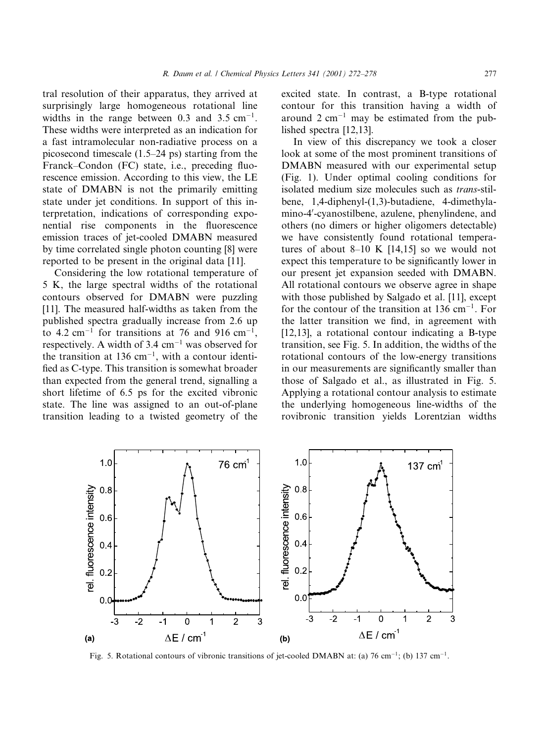tral resolution of their apparatus, they arrived at surprisingly large homogeneous rotational line widths in the range between 0.3 and 3.5  $cm^{-1}$ . These widths were interpreted as an indication for a fast intramolecular non-radiative process on a picosecond timescale  $(1.5-24 \text{ ps})$  starting from the Franck–Condon (FC) state, i.e., preceding fluorescence emission. According to this view, the LE state of DMABN is not the primarily emitting state under jet conditions. In support of this interpretation, indications of corresponding exponential rise components in the fluorescence emission traces of jet-cooled DMABN measured by time correlated single photon counting [8] were reported to be present in the original data [11].

Considering the low rotational temperature of 5 K, the large spectral widths of the rotational contours observed for DMABN were puzzling [11]. The measured half-widths as taken from the published spectra gradually increase from 2.6 up to 4.2 cm<sup>-1</sup> for transitions at 76 and 916 cm<sup>-1</sup>, respectively. A width of  $3.4 \text{ cm}^{-1}$  was observed for the transition at 136 cm<sup>-1</sup>, with a contour identified as C-type. This transition is somewhat broader than expected from the general trend, signalling a short lifetime of 6.5 ps for the excited vibronic state. The line was assigned to an out-of-plane transition leading to a twisted geometry of the excited state. In contrast, a B-type rotational contour for this transition having a width of around  $2 \text{ cm}^{-1}$  may be estimated from the published spectra  $[12, 13]$ .

In view of this discrepancy we took a closer look at some of the most prominent transitions of DMABN measured with our experimental setup (Fig. 1). Under optimal cooling conditions for isolated medium size molecules such as trans-stilbene, 1,4-diphenyl-(1,3)-butadiene, 4-dimethylamino-4'-cyanostilbene, azulene, phenylindene, and others (no dimers or higher oligomers detectable) we have consistently found rotational temperatures of about  $8-10$  K [14,15] so we would not expect this temperature to be significantly lower in our present jet expansion seeded with DMABN. All rotational contours we observe agree in shape with those published by Salgado et al. [11], except for the contour of the transition at 136 cm<sup>-1</sup>. For the latter transition we find, in agreement with [12,13], a rotational contour indicating a B-type transition, see Fig. 5. In addition, the widths of the rotational contours of the low-energy transitions in our measurements are significantly smaller than those of Salgado et al., as illustrated in Fig. 5. Applying a rotational contour analysis to estimate the underlying homogeneous line-widths of the rovibronic transition yields Lorentzian widths



Fig. 5. Rotational contours of vibronic transitions of jet-cooled DMABN at: (a) 76 cm<sup>-1</sup>; (b) 137 cm<sup>-1</sup>.